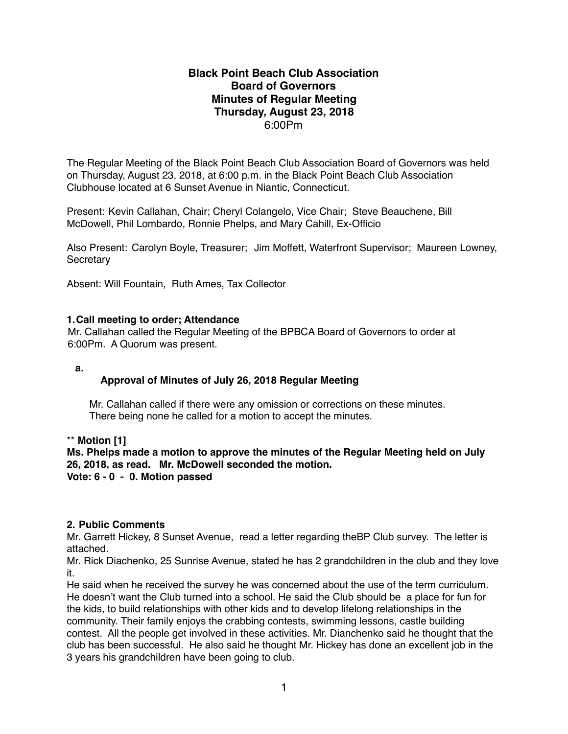### **Black Point Beach Club Association Board of Governors Minutes of Regular Meeting Thursday, August 23, 2018** 6:00Pm

The Regular Meeting of the Black Point Beach Club Association Board of Governors was held on Thursday, August 23, 2018, at 6:00 p.m. in the Black Point Beach Club Association Clubhouse located at 6 Sunset Avenue in Niantic, Connecticut.

Present: Kevin Callahan, Chair; Cheryl Colangelo, Vice Chair; Steve Beauchene, Bill McDowell, Phil Lombardo, Ronnie Phelps, and Mary Cahill, Ex-Officio

Also Present: Carolyn Boyle, Treasurer; Jim Moffett, Waterfront Supervisor; Maureen Lowney, **Secretary** 

Absent: Will Fountain, Ruth Ames, Tax Collector

### **1.Call meeting to order; Attendance**

Mr. Callahan called the Regular Meeting of the BPBCA Board of Governors to order at 6:00Pm. A Quorum was present.

**a.** 

### **Approval of Minutes of July 26, 2018 Regular Meeting**

 Mr. Callahan called if there were any omission or corrections on these minutes. There being none he called for a motion to accept the minutes.

\*\* **Motion [1]**

**Ms. Phelps made a motion to approve the minutes of the Regular Meeting held on July 26, 2018, as read. Mr. McDowell seconded the motion. Vote: 6 - 0 - 0. Motion passed**

### **2. Public Comments**

Mr. Garrett Hickey, 8 Sunset Avenue, read a letter regarding theBP Club survey. The letter is attached.

Mr. Rick Diachenko, 25 Sunrise Avenue, stated he has 2 grandchildren in the club and they love it.

He said when he received the survey he was concerned about the use of the term curriculum. He doesn't want the Club turned into a school. He said the Club should be a place for fun for the kids, to build relationships with other kids and to develop lifelong relationships in the community. Their family enjoys the crabbing contests, swimming lessons, castle building contest. All the people get involved in these activities. Mr. Dianchenko said he thought that the club has been successful. He also said he thought Mr. Hickey has done an excellent job in the 3 years his grandchildren have been going to club.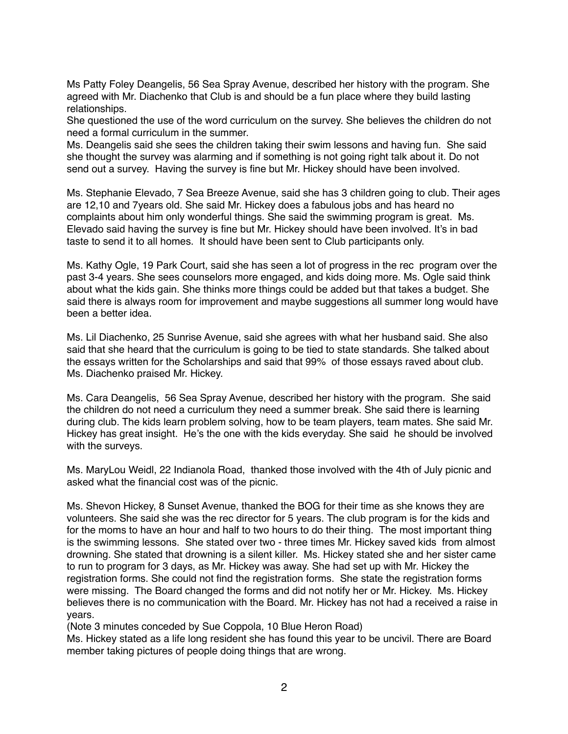Ms Patty Foley Deangelis, 56 Sea Spray Avenue, described her history with the program. She agreed with Mr. Diachenko that Club is and should be a fun place where they build lasting relationships.

She questioned the use of the word curriculum on the survey. She believes the children do not need a formal curriculum in the summer.

Ms. Deangelis said she sees the children taking their swim lessons and having fun. She said she thought the survey was alarming and if something is not going right talk about it. Do not send out a survey. Having the survey is fine but Mr. Hickey should have been involved.

Ms. Stephanie Elevado, 7 Sea Breeze Avenue, said she has 3 children going to club. Their ages are 12,10 and 7years old. She said Mr. Hickey does a fabulous jobs and has heard no complaints about him only wonderful things. She said the swimming program is great. Ms. Elevado said having the survey is fine but Mr. Hickey should have been involved. It's in bad taste to send it to all homes. It should have been sent to Club participants only.

Ms. Kathy Ogle, 19 Park Court, said she has seen a lot of progress in the rec program over the past 3-4 years. She sees counselors more engaged, and kids doing more. Ms. Ogle said think about what the kids gain. She thinks more things could be added but that takes a budget. She said there is always room for improvement and maybe suggestions all summer long would have been a better idea.

Ms. Lil Diachenko, 25 Sunrise Avenue, said she agrees with what her husband said. She also said that she heard that the curriculum is going to be tied to state standards. She talked about the essays written for the Scholarships and said that 99% of those essays raved about club. Ms. Diachenko praised Mr. Hickey.

Ms. Cara Deangelis, 56 Sea Spray Avenue, described her history with the program. She said the children do not need a curriculum they need a summer break. She said there is learning during club. The kids learn problem solving, how to be team players, team mates. She said Mr. Hickey has great insight. He's the one with the kids everyday. She said he should be involved with the surveys.

Ms. MaryLou Weidl, 22 Indianola Road, thanked those involved with the 4th of July picnic and asked what the financial cost was of the picnic.

Ms. Shevon Hickey, 8 Sunset Avenue, thanked the BOG for their time as she knows they are volunteers. She said she was the rec director for 5 years. The club program is for the kids and for the moms to have an hour and half to two hours to do their thing. The most important thing is the swimming lessons. She stated over two - three times Mr. Hickey saved kids from almost drowning. She stated that drowning is a silent killer. Ms. Hickey stated she and her sister came to run to program for 3 days, as Mr. Hickey was away. She had set up with Mr. Hickey the registration forms. She could not find the registration forms. She state the registration forms were missing. The Board changed the forms and did not notify her or Mr. Hickey. Ms. Hickey believes there is no communication with the Board. Mr. Hickey has not had a received a raise in years.

(Note 3 minutes conceded by Sue Coppola, 10 Blue Heron Road)

Ms. Hickey stated as a life long resident she has found this year to be uncivil. There are Board member taking pictures of people doing things that are wrong.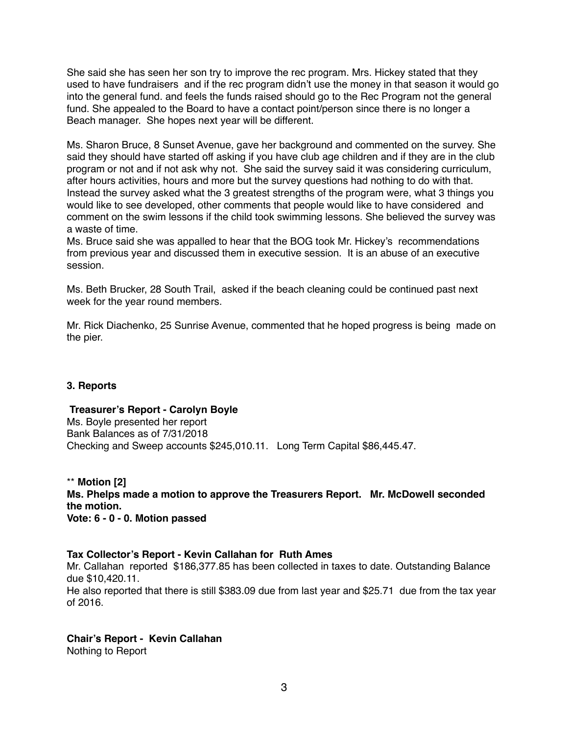She said she has seen her son try to improve the rec program. Mrs. Hickey stated that they used to have fundraisers and if the rec program didn't use the money in that season it would go into the general fund. and feels the funds raised should go to the Rec Program not the general fund. She appealed to the Board to have a contact point/person since there is no longer a Beach manager. She hopes next year will be different.

Ms. Sharon Bruce, 8 Sunset Avenue, gave her background and commented on the survey. She said they should have started off asking if you have club age children and if they are in the club program or not and if not ask why not. She said the survey said it was considering curriculum, after hours activities, hours and more but the survey questions had nothing to do with that. Instead the survey asked what the 3 greatest strengths of the program were, what 3 things you would like to see developed, other comments that people would like to have considered and comment on the swim lessons if the child took swimming lessons. She believed the survey was a waste of time.

Ms. Bruce said she was appalled to hear that the BOG took Mr. Hickey's recommendations from previous year and discussed them in executive session. It is an abuse of an executive session.

Ms. Beth Brucker, 28 South Trail, asked if the beach cleaning could be continued past next week for the year round members.

Mr. Rick Diachenko, 25 Sunrise Avenue, commented that he hoped progress is being made on the pier.

### **3. Reports**

### **Treasurer's Report - Carolyn Boyle**

Ms. Boyle presented her report Bank Balances as of 7/31/2018 Checking and Sweep accounts \$245,010.11. Long Term Capital \$86,445.47.

\*\* **Motion [2] Ms. Phelps made a motion to approve the Treasurers Report. Mr. McDowell seconded the motion. Vote: 6 - 0 - 0. Motion passed**

### **Tax Collector's Report - Kevin Callahan for Ruth Ames**

Mr. Callahan reported \$186,377.85 has been collected in taxes to date. Outstanding Balance due \$10,420.11.

He also reported that there is still \$383.09 due from last year and \$25.71 due from the tax year of 2016.

### **Chair's Report - Kevin Callahan**

Nothing to Report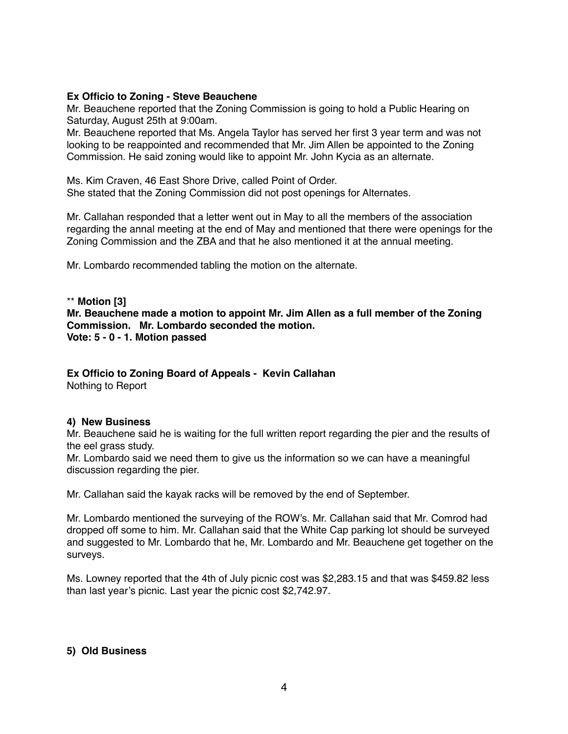#### **Ex Officio to Zoning - Steve Beauchene**

Mr. Beauchene reported that the Zoning Commission is going to hold a Public Hearing on Saturday, August 25th at 9:00am.

Mr. Beauchene reported that Ms. Angela Taylor has served her first 3 year term and was not looking to be reappointed and recommended that Mr. Jim Allen be appointed to the Zoning Commission. He said zoning would like to appoint Mr. John Kycia as an alternate.

Ms. Kim Craven, 46 East Shore Drive, called Point of Order. She stated that the Zoning Commission did not post openings for Alternates.

Mr. Callahan responded that a letter went out in May to all the members of the association regarding the annal meeting at the end of May and mentioned that there were openings for the Zoning Commission and the ZBA and that he also mentioned it at the annual meeting.

Mr. Lombardo recommended tabling the motion on the alternate.

\*\* **Motion [3] Mr. Beauchene made a motion to appoint Mr. Jim Allen as a full member of the Zoning Commission. Mr. Lombardo seconded the motion. Vote: 5 - 0 - 1. Motion passed**

## **Ex Officio to Zoning Board of Appeals - Kevin Callahan**

Nothing to Report

### **4) New Business**

Mr. Beauchene said he is waiting for the full written report regarding the pier and the results of the eel grass study.

Mr. Lombardo said we need them to give us the information so we can have a meaningful discussion regarding the pier.

Mr. Callahan said the kayak racks will be removed by the end of September.

Mr. Lombardo mentioned the surveying of the ROW's. Mr. Callahan said that Mr. Comrod had dropped off some to him. Mr. Callahan said that the White Cap parking lot should be surveyed and suggested to Mr. Lombardo that he, Mr. Lombardo and Mr. Beauchene get together on the surveys.

Ms. Lowney reported that the 4th of July picnic cost was \$2,283.15 and that was \$459.82 less than last year's picnic. Last year the picnic cost \$2,742.97.

### **5) Old Business**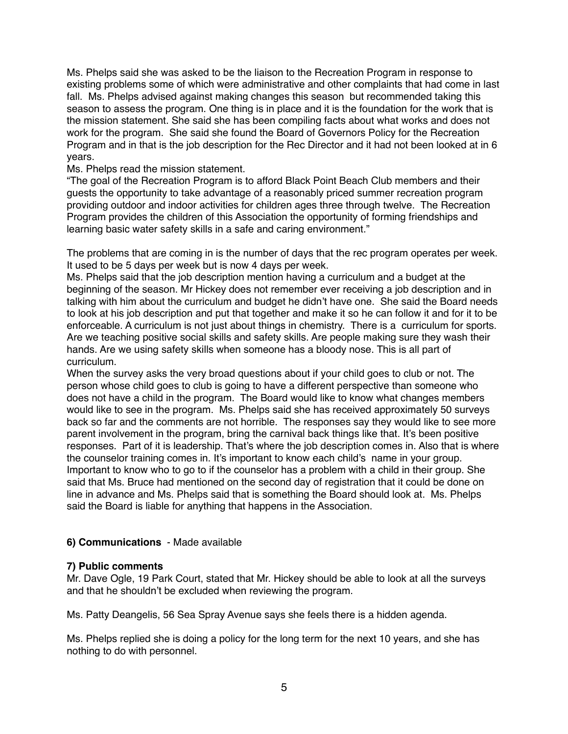Ms. Phelps said she was asked to be the liaison to the Recreation Program in response to existing problems some of which were administrative and other complaints that had come in last fall. Ms. Phelps advised against making changes this season but recommended taking this season to assess the program. One thing is in place and it is the foundation for the work that is the mission statement. She said she has been compiling facts about what works and does not work for the program. She said she found the Board of Governors Policy for the Recreation Program and in that is the job description for the Rec Director and it had not been looked at in 6 years.

Ms. Phelps read the mission statement.

"The goal of the Recreation Program is to afford Black Point Beach Club members and their guests the opportunity to take advantage of a reasonably priced summer recreation program providing outdoor and indoor activities for children ages three through twelve. The Recreation Program provides the children of this Association the opportunity of forming friendships and learning basic water safety skills in a safe and caring environment."

The problems that are coming in is the number of days that the rec program operates per week. It used to be 5 days per week but is now 4 days per week.

Ms. Phelps said that the job description mention having a curriculum and a budget at the beginning of the season. Mr Hickey does not remember ever receiving a job description and in talking with him about the curriculum and budget he didn't have one. She said the Board needs to look at his job description and put that together and make it so he can follow it and for it to be enforceable. A curriculum is not just about things in chemistry. There is a curriculum for sports. Are we teaching positive social skills and safety skills. Are people making sure they wash their hands. Are we using safety skills when someone has a bloody nose. This is all part of curriculum.

When the survey asks the very broad questions about if your child goes to club or not. The person whose child goes to club is going to have a different perspective than someone who does not have a child in the program. The Board would like to know what changes members would like to see in the program. Ms. Phelps said she has received approximately 50 surveys back so far and the comments are not horrible. The responses say they would like to see more parent involvement in the program, bring the carnival back things like that. It's been positive responses. Part of it is leadership. That's where the job description comes in. Also that is where the counselor training comes in. It's important to know each child's name in your group. Important to know who to go to if the counselor has a problem with a child in their group. She said that Ms. Bruce had mentioned on the second day of registration that it could be done on line in advance and Ms. Phelps said that is something the Board should look at. Ms. Phelps said the Board is liable for anything that happens in the Association.

### **6) Communications** - Made available

### **7) Public comments**

Mr. Dave Ogle, 19 Park Court, stated that Mr. Hickey should be able to look at all the surveys and that he shouldn't be excluded when reviewing the program.

Ms. Patty Deangelis, 56 Sea Spray Avenue says she feels there is a hidden agenda.

Ms. Phelps replied she is doing a policy for the long term for the next 10 years, and she has nothing to do with personnel.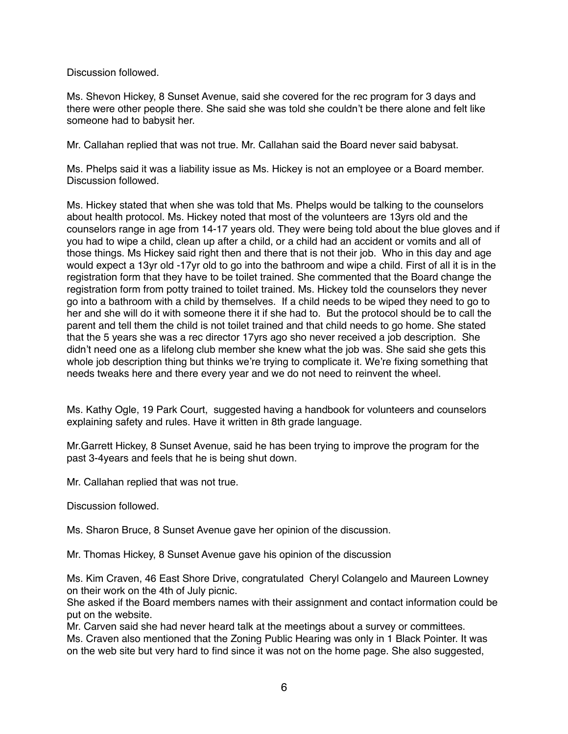Discussion followed.

Ms. Shevon Hickey, 8 Sunset Avenue, said she covered for the rec program for 3 days and there were other people there. She said she was told she couldn't be there alone and felt like someone had to babysit her.

Mr. Callahan replied that was not true. Mr. Callahan said the Board never said babysat.

Ms. Phelps said it was a liability issue as Ms. Hickey is not an employee or a Board member. Discussion followed.

Ms. Hickey stated that when she was told that Ms. Phelps would be talking to the counselors about health protocol. Ms. Hickey noted that most of the volunteers are 13yrs old and the counselors range in age from 14-17 years old. They were being told about the blue gloves and if you had to wipe a child, clean up after a child, or a child had an accident or vomits and all of those things. Ms Hickey said right then and there that is not their job. Who in this day and age would expect a 13yr old -17yr old to go into the bathroom and wipe a child. First of all it is in the registration form that they have to be toilet trained. She commented that the Board change the registration form from potty trained to toilet trained. Ms. Hickey told the counselors they never go into a bathroom with a child by themselves. If a child needs to be wiped they need to go to her and she will do it with someone there it if she had to. But the protocol should be to call the parent and tell them the child is not toilet trained and that child needs to go home. She stated that the 5 years she was a rec director 17yrs ago sho never received a job description. She didn't need one as a lifelong club member she knew what the job was. She said she gets this whole job description thing but thinks we're trying to complicate it. We're fixing something that needs tweaks here and there every year and we do not need to reinvent the wheel.

Ms. Kathy Ogle, 19 Park Court, suggested having a handbook for volunteers and counselors explaining safety and rules. Have it written in 8th grade language.

Mr.Garrett Hickey, 8 Sunset Avenue, said he has been trying to improve the program for the past 3-4years and feels that he is being shut down.

Mr. Callahan replied that was not true.

Discussion followed.

Ms. Sharon Bruce, 8 Sunset Avenue gave her opinion of the discussion.

Mr. Thomas Hickey, 8 Sunset Avenue gave his opinion of the discussion

Ms. Kim Craven, 46 East Shore Drive, congratulated Cheryl Colangelo and Maureen Lowney on their work on the 4th of July picnic.

She asked if the Board members names with their assignment and contact information could be put on the website.

Mr. Carven said she had never heard talk at the meetings about a survey or committees. Ms. Craven also mentioned that the Zoning Public Hearing was only in 1 Black Pointer. It was on the web site but very hard to find since it was not on the home page. She also suggested,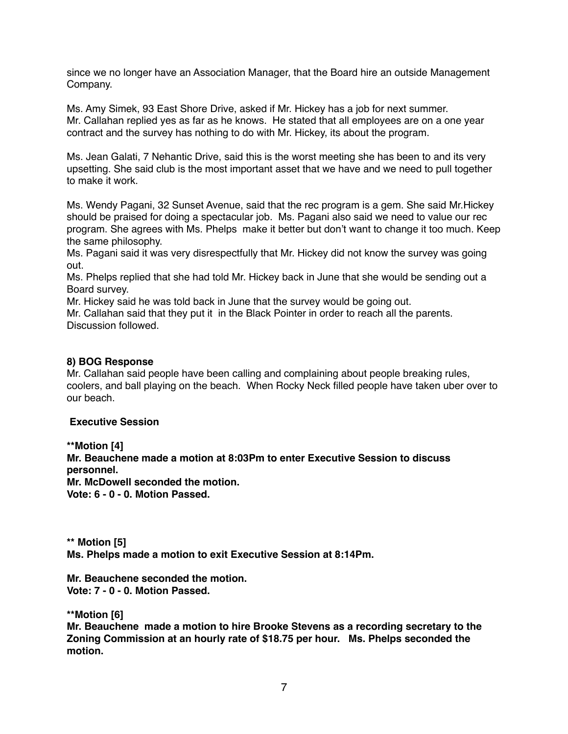since we no longer have an Association Manager, that the Board hire an outside Management Company.

Ms. Amy Simek, 93 East Shore Drive, asked if Mr. Hickey has a job for next summer. Mr. Callahan replied yes as far as he knows. He stated that all employees are on a one year contract and the survey has nothing to do with Mr. Hickey, its about the program.

Ms. Jean Galati, 7 Nehantic Drive, said this is the worst meeting she has been to and its very upsetting. She said club is the most important asset that we have and we need to pull together to make it work.

Ms. Wendy Pagani, 32 Sunset Avenue, said that the rec program is a gem. She said Mr.Hickey should be praised for doing a spectacular job. Ms. Pagani also said we need to value our rec program. She agrees with Ms. Phelps make it better but don't want to change it too much. Keep the same philosophy.

Ms. Pagani said it was very disrespectfully that Mr. Hickey did not know the survey was going out.

Ms. Phelps replied that she had told Mr. Hickey back in June that she would be sending out a Board survey.

Mr. Hickey said he was told back in June that the survey would be going out.

Mr. Callahan said that they put it in the Black Pointer in order to reach all the parents. Discussion followed.

### **8) BOG Response**

Mr. Callahan said people have been calling and complaining about people breaking rules, coolers, and ball playing on the beach. When Rocky Neck filled people have taken uber over to our beach.

### **Executive Session**

**\*\*Motion [4]**

**Mr. Beauchene made a motion at 8:03Pm to enter Executive Session to discuss personnel.**

**Mr. McDowell seconded the motion.**

**Vote: 6 - 0 - 0. Motion Passed.**

**\*\* Motion [5] Ms. Phelps made a motion to exit Executive Session at 8:14Pm.**

**Mr. Beauchene seconded the motion. Vote: 7 - 0 - 0. Motion Passed.**

**\*\*Motion [6]**

**Mr. Beauchene made a motion to hire Brooke Stevens as a recording secretary to the Zoning Commission at an hourly rate of \$18.75 per hour. Ms. Phelps seconded the motion.**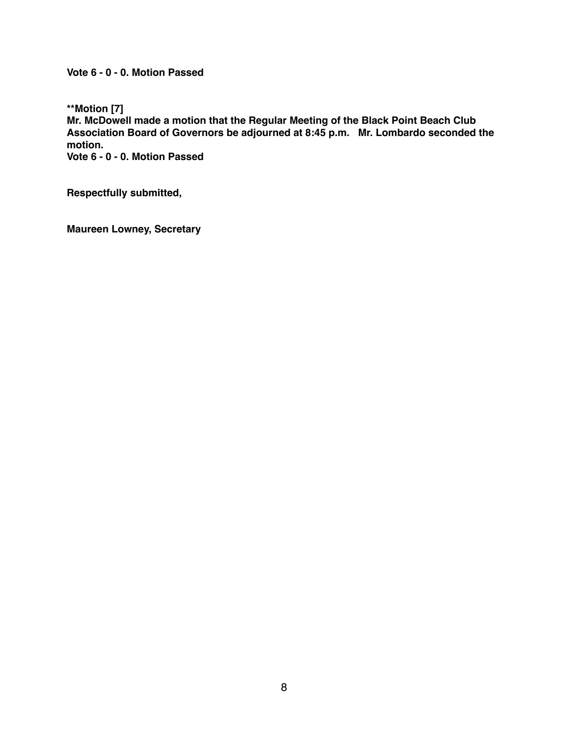**Vote 6 - 0 - 0. Motion Passed**

**\*\*Motion [7]**

**Mr. McDowell made a motion that the Regular Meeting of the Black Point Beach Club Association Board of Governors be adjourned at 8:45 p.m. Mr. Lombardo seconded the motion.**

**Vote 6 - 0 - 0. Motion Passed**

**Respectfully submitted,**

**Maureen Lowney, Secretary**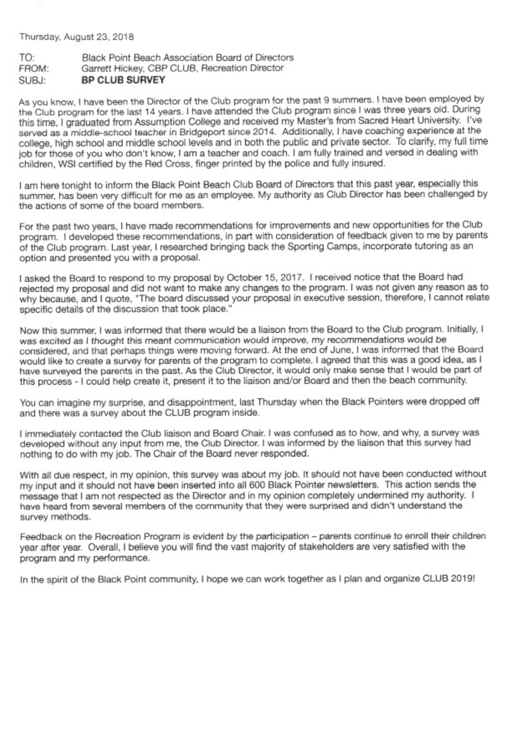Thursday, August 23, 2018

#### Black Point Beach Association Board of Directors TO: Garrett Hickey, CBP CLUB, Recreation Director FROM: **BP CLUB SURVEY** SUBJ:

As you know, I have been the Director of the Club program for the past 9 summers. I have been employed by the Club program for the last 14 years. I have attended the Club program since I was three years old. During this time, I graduated from Assumption College and received my Master's from Sacred Heart University. I've served as a middle-school teacher in Bridgeport since 2014. Additionally, I have coaching experience at the college, high school and middle school levels and in both the public and private sector. To clarify, my full time job for those of you who don't know, I am a teacher and coach. I am fully trained and versed in dealing with children. WSI certified by the Red Cross, finger printed by the police and fully insured.

I am here tonight to inform the Black Point Beach Club Board of Directors that this past year, especially this summer, has been very difficult for me as an employee. My authority as Club Director has been challenged by the actions of some of the board members.

For the past two years, I have made recommendations for improvements and new opportunities for the Club program. I developed these recommendations, in part with consideration of feedback given to me by parents of the Club program. Last year, I researched bringing back the Sporting Camps, incorporate tutoring as an option and presented you with a proposal.

I asked the Board to respond to my proposal by October 15, 2017. I received notice that the Board had rejected my proposal and did not want to make any changes to the program. I was not given any reason as to why because, and I quote, "The board discussed your proposal in executive session, therefore, I cannot relate specific details of the discussion that took place."

Now this summer, I was informed that there would be a liaison from the Board to the Club program. Initially, I was excited as I thought this meant communication would improve, my recommendations would be considered, and that perhaps things were moving forward. At the end of June, I was informed that the Board would like to create a survey for parents of the program to complete. I agreed that this was a good idea, as I have surveyed the parents in the past. As the Club Director, it would only make sense that I would be part of this process - I could help create it, present it to the liaison and/or Board and then the beach community.

You can imagine my surprise, and disappointment, last Thursday when the Black Pointers were dropped off and there was a survey about the CLUB program inside.

I immediately contacted the Club liaison and Board Chair. I was confused as to how, and why, a survey was developed without any input from me, the Club Director. I was informed by the liaison that this survey had nothing to do with my job. The Chair of the Board never responded.

With all due respect, in my opinion, this survey was about my job. It should not have been conducted without my input and it should not have been inserted into all 600 Black Pointer newsletters. This action sends the message that I am not respected as the Director and in my opinion completely undermined my authority. I have heard from several members of the community that they were surprised and didn't understand the survey methods.

Feedback on the Recreation Program is evident by the participation - parents continue to enroll their children year after year. Overall, I believe you will find the vast majority of stakeholders are very satisfied with the program and my performance.

In the spirit of the Black Point community, I hope we can work together as I plan and organize CLUB 2019!